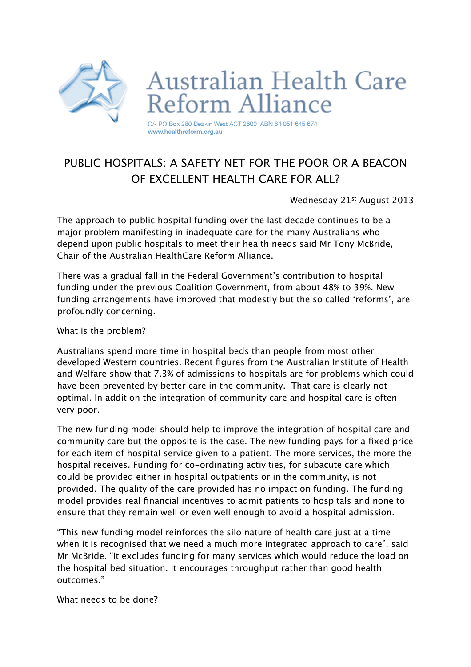

## PURLIC HOSPITALS: A SAFFTY NFT FOR THE POOR OR A BEACON OF EXCELLENT HEALTH CARE FOR ALL?

Wednesday 21<sup>st</sup> August 2013

The approach to public hospital funding over the last decade continues to be a major problem manifesting in inadequate care for the many Australians who depend upon public hospitals to meet their health needs said Mr Tony McBride, Chair of the Australian HealthCare Reform Alliance.

There was a gradual fall in the Federal Government's contribution to hospital funding under the previous Coalition Government, from about 48% to 39%. New funding arrangements have improved that modestly but the so called 'reforms', are profoundly concerning.

What is the problem?

Australians spend more time in hospital beds than people from most other developed Western countries. Recent figures from the Australian Institute of Health and Welfare show that 7.3% of admissions to hospitals are for problems which could have been prevented by better care in the community. That care is clearly not optimal. In addition the integration of community care and hospital care is often very poor.

The new funding model should help to improve the integration of hospital care and community care but the opposite is the case. The new funding pays for a fixed price for each item of hospital service given to a patient. The more services, the more the hospital receives. Funding for co-ordinating activities, for subacute care which could be provided either in hospital outpatients or in the community, is not provided. The quality of the care provided has no impact on funding. The funding model provides real financial incentives to admit patients to hospitals and none to ensure that they remain well or even well enough to avoid a hospital admission.

"This new funding model reinforces the silo nature of health care just at a time when it is recognised that we need a much more integrated approach to care", said Mr McBride. "It excludes funding for many services which would reduce the load on the hospital bed situation. It encourages throughput rather than good health outcomes."

What needs to be done?